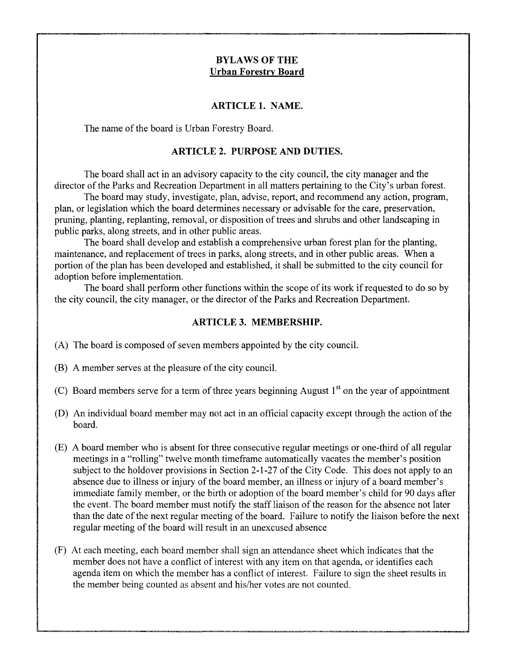## **BYLAWS OF THE Urban Forestry Board**

#### **ARTICLE 1. NAME.**

The name of the board is Urban Forestry Board.

#### **ARTICLE 2. PURPOSE AND DUTIES.**

The board shall act in an advisory capacity to the city council, the city manager and the director of the Parks and Recreation Department in all matters pertaining to the City's urban forest.

The board may study, investigate, plan, advise, report, and recommend any action, program, plan, or legislation which the board determines necessary or advisable for the care, preservation, pruning, planting, replanting, removal, or disposition of trees and shrubs and other landscaping in public parks, along streets, and in other public areas.

The board shall develop and establish a comprehensive urban forest plan for the planting, maintenance, and replacement of trees in parks, along streets, and in other public areas. When a portion of the plan has been developed and established, it shall be submitted to the city council for adoption before implementation.

The board shall perform other functions within the scope of its work if requested to do so by the city council, the city manager, or the director of the Parks and Recreation Department.

#### **ARTICLE 3. MEMBERSHIP.**

- (A) The board is composed of seven members appointed by the city council.
- (B) A member serves at the pleasure of the city council.
- (C) Board members serve for a term of three years beginning August  $1<sup>st</sup>$  on the year of appointment
- (D) An individual board member may not act in an official capacity except through the action of the board.
- (E) A board member who is absent for three consecutive regular meetings or one-third of all regular meetings in a "rolling" twelve month timeframe automatically vacates the member's position subject to the holdover provisions in Section 2-1-27 of the City Code. This does not apply to an absence due to illness or injury of the board member, an illness or injury of a board member's immediate family member, or the birth or adoption of the board member's child for 90 days after the event. The board member must notify the staff liaison of the reason for the absence not later than the date of the next regular meeting of the board. Failure to notify the liaison before the next regular meeting of the board will result in an unexcused absence
- (F) At each meeting, each board member shall sign an attendance sheet which indicates that the member does not have a conflict of interest with any item on that agenda, or identifies each agenda item on which the member has a conflict of interest. Failure to sign the sheet results in the member being counted as absent and his/her votes are not counted.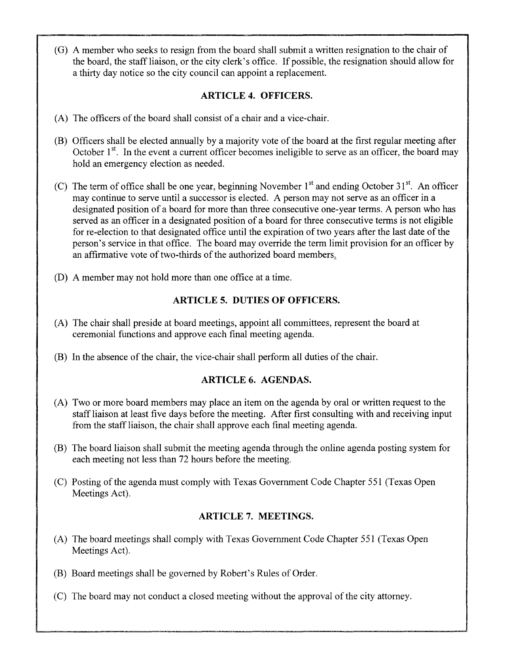(G) A member who seeks to resign from the board shall submit a written resignation to the chair of the board, the staff liaison, or the city clerk's office. If possible, the resignation should allow for a thirty day notice so the city council can appoint a replacement.

## **ARTICLE 4. OFFICERS.**

- (A) The officers of the board shall consist of a chair and a vice-chair.
- (B) Officers shall be elected annually by a majority vote of the board at the first regular meeting after October  $1<sup>st</sup>$ . In the event a current officer becomes ineligible to serve as an officer, the board may hold an emergency election as needed.
- (C) The term of office shall be one year, beginning November  $1<sup>st</sup>$  and ending October  $31<sup>st</sup>$ . An officer may continue to serve until a successor is elected. A person may not serve as an officer in a designated position of a board for more than three consecutive one-year terms. A person who has served as an officer in a designated position of a board for three consecutive terms is not eligible for re-election to that designated office until the expiration of two years after the last date of the person's service in that office. The board may override the term limit provision for an officer by an affirmative vote of two-thirds of the authorized board members.
- (D) A member may not hold more than one office at a time.

# **ARTICLE 5. DUTIES OF OFFICERS.**

- (A) The chair shall preside at board meetings, appoint all committees, represent the board at ceremonial functions and approve each final meeting agenda.
- (B) In the absence of the chair, the vice-chair shall perform all duties of the chair.

# **ARTICLE 6. AGENDAS.**

- (A) Two or more board members may place an item on the agenda by oral or written request to the staff liaison at least five days before the meeting. After first consulting with and receiving input from the staff liaison, the chair shall approve each final meeting agenda.
- (B) The board liaison shall submit the meeting agenda through the online agenda posting system for each meeting not less than 72 hours before the meeting.
- (C) Posting of the agenda must comply with Texas Government Code Chapter 551 (Texas Open Meetings Act).

# **ARTICLE 7. MEETINGS.**

- (A) The board meetings shall comply with Texas Government Code Chapter 551 (Texas Open Meetings Act).
- (B) Board meetings shall be governed by Robert's Rules of Order.
- (C) The board may not conduct a closed meeting without the approval of the city attorney.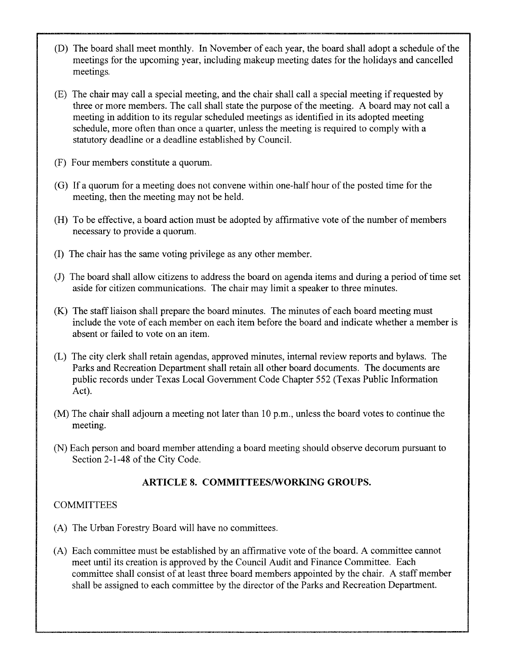- (D) The board shall meet monthly. In November of each year, the board shall adopt a schedule of the meetings for the upcoming year, including makeup meeting dates for the holidays and cancelled meetings.
- (E) The chair may call a special meeting, and the chair shall call a special meeting if requested by three or more members. The call shall state the purpose of the meeting. A board may not call a meeting in addition to its regular scheduled meetings as identified in its adopted meeting schedule, more often than once a quarter, unless the meeting is required to comply with a statutory deadline or a deadline established by Council.
- (F) Four members constitute a quorum.
- (G) If a quorum for a meeting does not convene within one-half hour of the posted time for the meeting, then the meeting may not be held.
- (H) To be effective, a board action must be adopted by affirmative vote of the number of members necessary to provide a quorum.
- (I) The chair has the same voting privilege as any other member.
- (J) The board shall allow citizens to address the board on agenda items and during a period of time set aside for citizen communications. The chair may limit a speaker to three minutes.
- (K) The staff liaison shall prepare the board minutes. The minutes of each board meeting must include the vote of each member on each item before the board and indicate whether a member is absent or failed to vote on an item.
- (L) The city clerk shall retain agendas, approved minutes, internal review reports and bylaws. The Parks and Recreation Department shall retain all other board documents. The documents are public records under Texas Local Government Code Chapter 552 (Texas Public Information Act).
- (M) The chair shall adjourn a meeting not later than 10 p.m., unless the board votes to continue the meeting.
- (N) Each person and board member attending a board meeting should observe decorum pursuant to Section 2-1-48 of the City Code.

# **ARTICLE 8. COMMITTEES/WORKING GROUPS.**

## **COMMITTEES**

- (A) The Urban Forestry Board will have no committees.
- (A) Each committee must be established by an affirmative vote of the board. A committee cannot meet until its creation is approved by the Council Audit and Finance Committee. Each committee shall consist of at least three board members appointed by the chair. A staff member shall be assigned to each committee by the director of the Parks and Recreation Department.